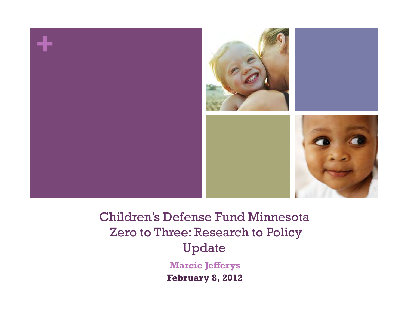

Children's Defense Fund Minnesota Zero to Three: Research to Policy Update **Marcie Jefferys** 

**February 8, 2012**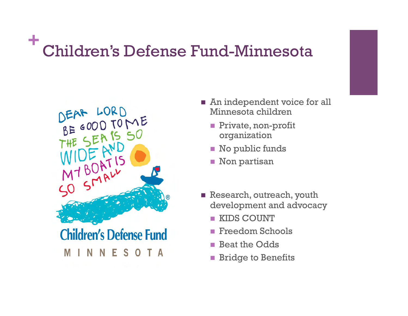# **<sup>+</sup>**Children's Defense Fund-Minnesota



#### **Children's Defense Fund** MINNESOTA

- An independent voice for all Minnesota children
	- **Private, non-profit** organization
	- No public funds
	- **Non partisan**
- Research, outreach, youth development and advocacy
	- KIDS COUNT
	- **Freedom Schools**
	- Beat the Odds
	- **Bridge to Benefits**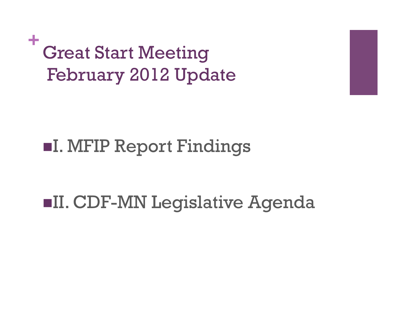**+** Great Start Meeting February 2012 Update

# **I. MFIP Report Findings**

# **II. CDF-MN Legislative Agenda**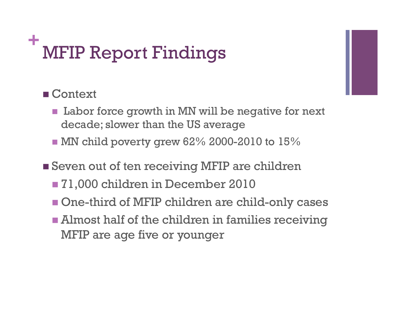#### **+** MFIP Report Findings

#### ■ Context

- **Labor force growth in MN will be negative for next** decade; slower than the US average
- **MN** child poverty grew 62% 2000-2010 to 15%
- **Seven out of ten receiving MFIP are children** 
	- **71,000 children in December 2010**
	- **One-third of MFIP children are child-only cases**
	- **Almost half of the children in families receiving** MFIP are age five or younger

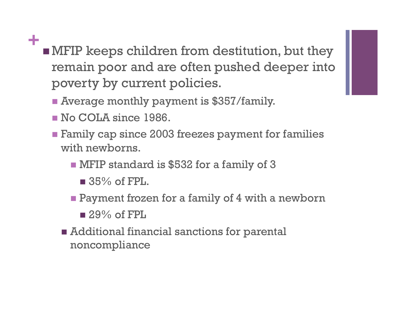### **+**

- **NFIP keeps children from destitution, but they** remain poor and are often pushed deeper into poverty by current policies.
	- Average monthly payment is \$357/family.
	- No COLA since 1986.
	- **Family cap since 2003 freezes payment for families** with newborns.
		- MFIP standard is \$532 for a family of 3
			- $\blacksquare$  35% of FPL.
		- **Payment frozen for a family of 4 with a newborn** 
			- $\blacksquare$  29% of FPL
		- Additional financial sanctions for parental noncompliance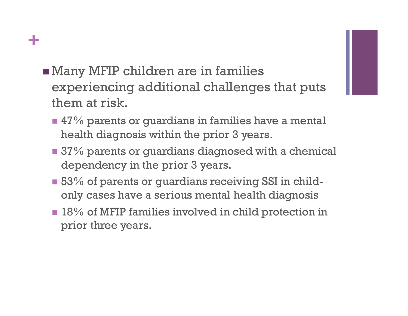- Many MFIP children are in families experiencing additional challenges that puts them at risk.
	- **47% parents or guardians in families have a mental** health diagnosis within the prior 3 years.
	- **37%** parents or guardians diagnosed with a chemical dependency in the prior 3 years.
	- **53% of parents or guardians receiving SSI in child**only cases have a serious mental health diagnosis
	- **18% of MFIP families involved in child protection in** prior three years.

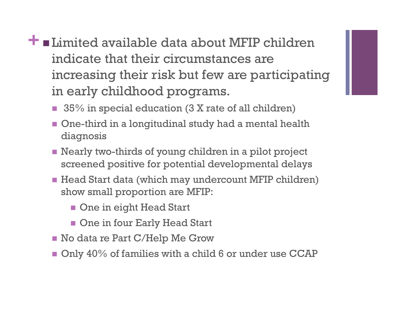- **+** Limited available data about MFIP children indicate that their circumstances are increasing their risk but few are participating in early childhood programs.
	- 35% in special education (3 X rate of all children)
	- **One-third in a longitudinal study had a mental health** diagnosis
	- Nearly two-thirds of young children in a pilot project screened positive for potential developmental delays
	- Head Start data (which may undercount MFIP children) show small proportion are MFIP:
		- **One in eight Head Start**
		- **One in four Early Head Start**
	- No data re Part C/Help Me Grow
	- **Only 40% of families with a child 6 or under use CCAP**

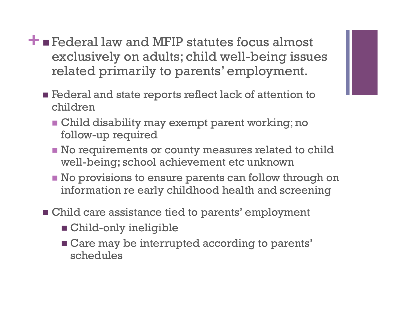**+** Federal law and MFIP statutes focus almost exclusively on adults; child well-being issues related primarily to parents' employment.

- **Federal and state reports reflect lack of attention to** children
	- Child disability may exempt parent working; no follow-up required
	- **No requirements or county measures related to child** well-being; school achievement etc unknown
	- **No provisions to ensure parents can follow through on** information re early childhood health and screening
- Child care assistance tied to parents' employment
	- Child-only ineligible
	- Care may be interrupted according to parents' schedules

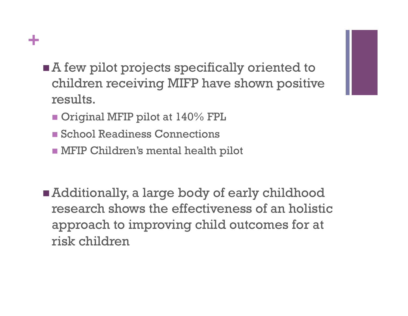## **+**

- A few pilot projects specifically oriented to children receiving MIFP have shown positive results.
	- **Original MFIP pilot at 140% FPL**
	- School Readiness Connections
	- MFIP Children's mental health pilot
- Additionally, a large body of early childhood research shows the effectiveness of an holistic approach to improving child outcomes for at risk children

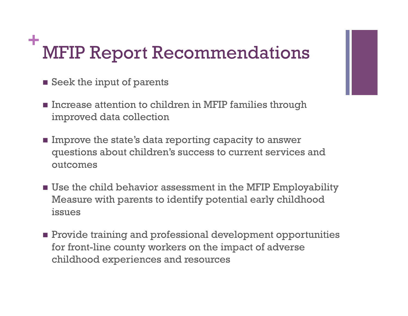#### **+** MFIP Report Recommendations

- Seek the input of parents
- **Increase attention to children in MFIP families through** improved data collection
- **Improve the state's data reporting capacity to answer** questions about children's success to current services and outcomes
- Use the child behavior assessment in the MFIP Employability Measure with parents to identify potential early childhood issues
- **Provide training and professional development opportunities** for front-line county workers on the impact of adverse childhood experiences and resources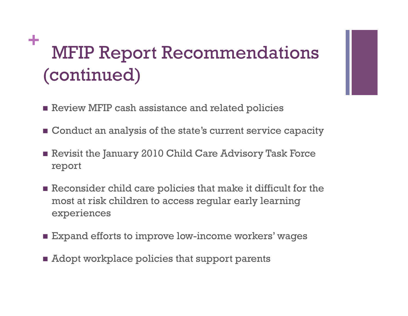## **+** MFIP Report Recommendations (continued)

- **Review MFIP cash assistance and related policies**
- **E** Conduct an analysis of the state's current service capacity
- **Revisit the January 2010 Child Care Advisory Task Force** report
- Reconsider child care policies that make it difficult for the most at risk children to access regular early learning experiences
- **Expand efforts to improve low-income workers' wages**
- Adopt workplace policies that support parents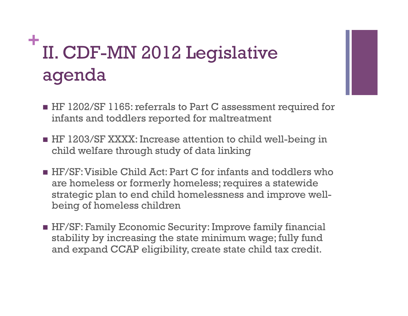## **+** II. CDF-MN 2012 Legislative agenda

- **HF 1202/SF 1165: referrals to Part C assessment required for** infants and toddlers reported for maltreatment
- HF 1203/SF XXXX: Increase attention to child well-being in child welfare through study of data linking
- HF/SF: Visible Child Act: Part C for infants and toddlers who are homeless or formerly homeless; requires a statewide strategic plan to end child homelessness and improve wellbeing of homeless children
- HF/SF: Family Economic Security: Improve family financial stability by increasing the state minimum wage; fully fund and expand CCAP eligibility, create state child tax credit.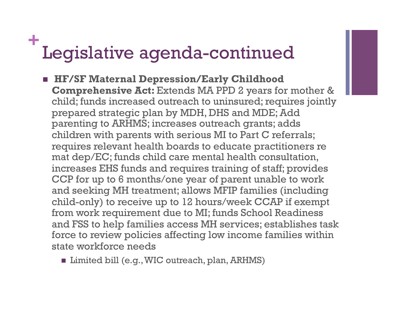#### **+** Legislative agenda-continued

- **HF/SF Maternal Depression/Early Childhood Comprehensive Act:** Extends MA PPD 2 years for mother & child; funds increased outreach to uninsured; requires jointly prepared strategic plan by MDH, DHS and MDE; Add parenting to ARHMS; increases outreach grants; adds children with parents with serious MI to Part C referrals; requires relevant health boards to educate practitioners re mat dep/EC; funds child care mental health consultation, increases EHS funds and requires training of staff; provides CCP for up to 6 months/one year of parent unable to work and seeking MH treatment; allows MFIP families (including child-only) to receive up to 12 hours/week CCAP if exempt from work requirement due to MI; funds School Readiness and FSS to help families access MH services; establishes task force to review policies affecting low income families within state workforce needs
	- Limited bill (e.g., WIC outreach, plan, ARHMS)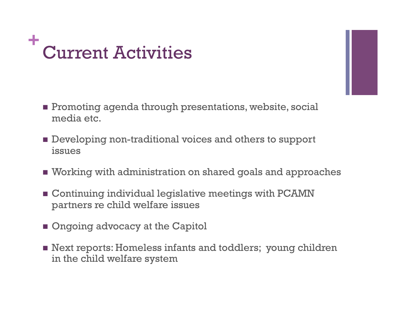

- **Promoting agenda through presentations, website, social** media etc.
- **Developing non-traditional voices and others to support** issues
- Working with administration on shared goals and approaches
- Continuing individual legislative meetings with PCAMN partners re child welfare issues
- $\blacksquare$  Ongoing advocacy at the Capitol
- Next reports: Homeless infants and toddlers; young children in the child welfare system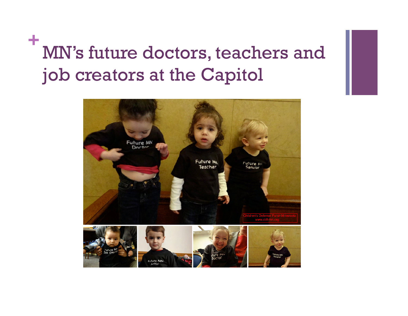### **+** MN's future doctors, teachers and job creators at the Capitol